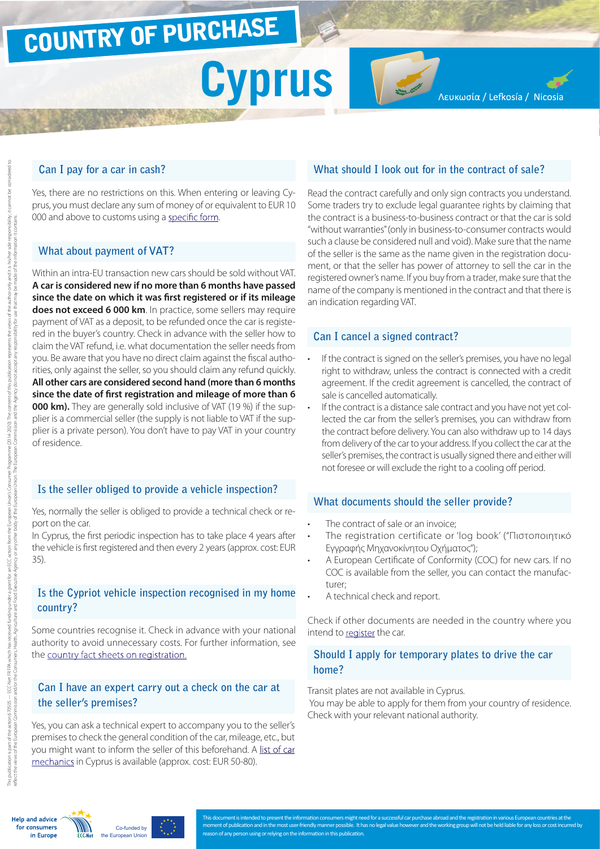## COUNTRY OF PURCHASE

# **Cyprus**

Λευκωσία / Lefkosía / Nicosia

#### **Can I pay for a car in cash?**

Yes, there are no restrictions on this. When entering or leaving Cyprus, you must declare any sum of money of or equivalent to EUR 10 000 and above to customs using a [specific form.](http://ec.europa.eu/taxation_customs/resources/documents/customs/customs_controls/cash_controls/declaration_forms/declaration_form_cy_en.pdf)

#### **What about payment of VAT?**

Within an intra-EU transaction new cars should be sold without VAT. **A car is considered new if no more than 6 months have passed since the date on which it was first registered or if its mileage does not exceed 6 000 km**. In practice, some sellers may require payment of VAT as a deposit, to be refunded once the car is registered in the buyer's country. Check in advance with the seller how to claim the VAT refund, i.e. what documentation the seller needs from you. Be aware that you have no direct claim against the fiscal authorities, only against the seller, so you should claim any refund quickly. **All other cars are considered second hand (more than 6 months since the date of first registration and mileage of more than 6 000 km).** They are generally sold inclusive of VAT (19 %) if the supplier is a commercial seller (the supply is not liable to VAT if the supplier is a private person). You don't have to pay VAT in your country of residence.

#### **Is the seller obliged to provide a vehicle inspection?**

Yes, normally the seller is obliged to provide a technical check or report on the car.

In Cyprus, the first periodic inspection has to take place 4 years after the vehicle is first registered and then every 2 years (approx. cost: EUR 35).

#### **Is the Cypriot vehicle inspection recognised in my home country?**

Some countries recognise it. Check in advance with your national authority to avoid unnecessary costs. For further information, see the [country fact sheets on registration](http://www.europe-consommateurs.eu/en/consumer-topics/on-the-road/buying-a-car/cross-border-car-purchase-and-registration/).

#### **Can I have an expert carry out a check on the car at the seller's premises?**

Yes, you can ask a technical expert to accompany you to the seller's premises to check the general condition of the car, mileage, etc., but you might want to inform the seller of this beforehand. A [list of car](http://www.cyprusmechanics.com/)  [mechanics](http://www.cyprusmechanics.com/) in Cyprus is available (approx. cost: EUR 50-80).

#### **What should I look out for in the contract of sale?**

Read the contract carefully and only sign contracts you understand. Some traders try to exclude legal guarantee rights by claiming that the contract is a business-to-business contract or that the car is sold "without warranties" (only in business-to-consumer contracts would such a clause be considered null and void). Make sure that the name of the seller is the same as the name given in the registration document, or that the seller has power of attorney to sell the car in the registered owner's name. If you buy from a trader, make sure that the name of the company is mentioned in the contract and that there is an indication regarding VAT.

#### **Can I cancel a signed contract?**

- If the contract is signed on the seller's premises, you have no legal right to withdraw, unless the contract is connected with a credit agreement. If the credit agreement is cancelled, the contract of sale is cancelled automatically.
- If the contract is a distance sale contract and you have not yet collected the car from the seller's premises, you can withdraw from the contract before delivery. You can also withdraw up to 14 days from delivery of the car to your address. If you collect the car at the seller's premises, the contract is usually signed there and either will not foresee or will exclude the right to a cooling off period.

#### **What documents should the seller provide?**

- The contract of sale or an invoice:
- The registration certificate or 'log book' ("Πιστοποιητικό Εγγραφής Μηχανοκίνητου Οχήματος");
- A European Certificate of Conformity (COC) for new cars. If no COC is available from the seller, you can contact the manufacturer;
- A technical check and report.

Check if other documents are needed in the country where you intend to [register](http://www.europe-consommateurs.eu/en/consumer-topics/on-the-road/buying-a-car/cross-border-car-purchase-and-registration/) the car.

#### **Should I apply for temporary plates to drive the car home?**

Transit plates are not available in Cyprus.

You may be able to apply for them from your country of residence. Check with your relevant national authority.